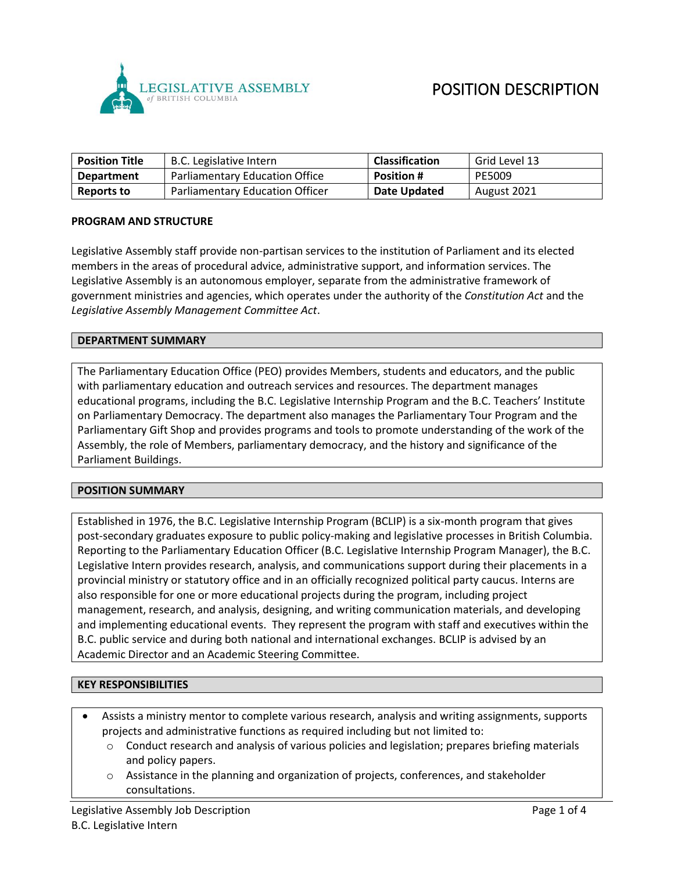

| <b>Position Title</b> | B.C. Legislative Intern                | <b>Classification</b> | Grid Level 13 |
|-----------------------|----------------------------------------|-----------------------|---------------|
| Department            | <b>Parliamentary Education Office</b>  | <b>Position #</b>     | PE5009        |
| <b>Reports to</b>     | <b>Parliamentary Education Officer</b> | Date Updated          | August 2021   |

#### **PROGRAM AND STRUCTURE**

Legislative Assembly staff provide non-partisan services to the institution of Parliament and its elected members in the areas of procedural advice, administrative support, and information services. The Legislative Assembly is an autonomous employer, separate from the administrative framework of government ministries and agencies, which operates under the authority of the *Constitution Act* and the *Legislative Assembly Management Committee Act*.

#### **DEPARTMENT SUMMARY**

The Parliamentary Education Office (PEO) provides Members, students and educators, and the public with parliamentary education and outreach services and resources. The department manages educational programs, including the B.C. Legislative Internship Program and the B.C. Teachers' Institute on Parliamentary Democracy. The department also manages the Parliamentary Tour Program and the Parliamentary Gift Shop and provides programs and tools to promote understanding of the work of the Assembly, the role of Members, parliamentary democracy, and the history and significance of the Parliament Buildings.

#### **POSITION SUMMARY**

Established in 1976, the B.C. Legislative Internship Program (BCLIP) is a six-month program that gives post-secondary graduates exposure to public policy-making and legislative processes in British Columbia. Reporting to the Parliamentary Education Officer (B.C. Legislative Internship Program Manager), the B.C. Legislative Intern provides research, analysis, and communications support during their placements in a provincial ministry or statutory office and in an officially recognized political party caucus. Interns are also responsible for one or more educational projects during the program, including project management, research, and analysis, designing, and writing communication materials, and developing and implementing educational events. They represent the program with staff and executives within the B.C. public service and during both national and international exchanges. BCLIP is advised by an Academic Director and an Academic Steering Committee.

#### **KEY RESPONSIBILITIES**

- Assists a ministry mentor to complete various research, analysis and writing assignments, supports projects and administrative functions as required including but not limited to:
	- $\circ$  Conduct research and analysis of various policies and legislation; prepares briefing materials and policy papers.
	- Assistance in the planning and organization of projects, conferences, and stakeholder consultations.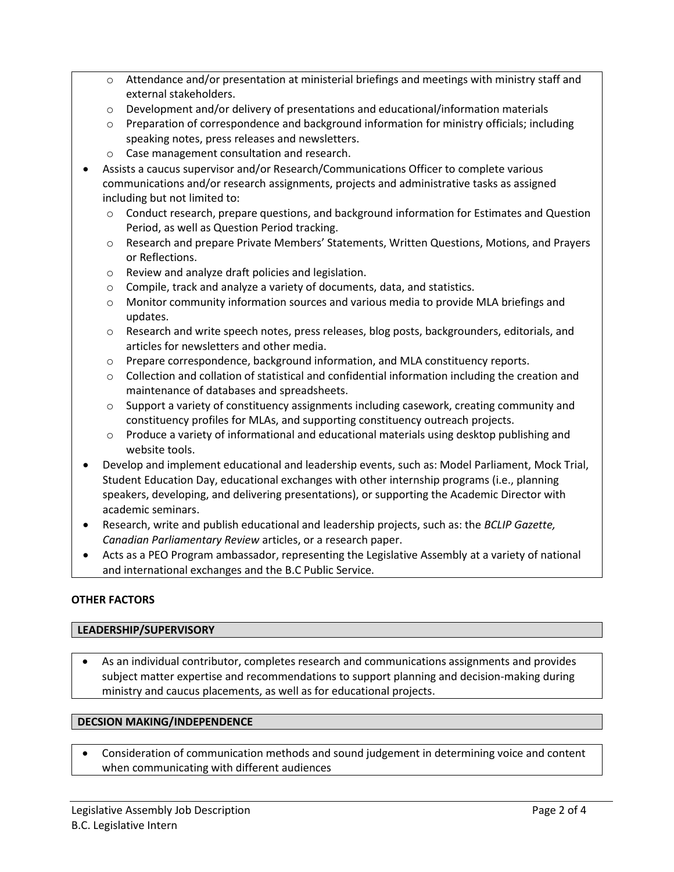- $\circ$  Attendance and/or presentation at ministerial briefings and meetings with ministry staff and external stakeholders.
- $\circ$  Development and/or delivery of presentations and educational/information materials
- $\circ$  Preparation of correspondence and background information for ministry officials; including speaking notes, press releases and newsletters.
- o Case management consultation and research.
- Assists a caucus supervisor and/or Research/Communications Officer to complete various communications and/or research assignments, projects and administrative tasks as assigned including but not limited to:
	- $\circ$  Conduct research, prepare questions, and background information for Estimates and Question Period, as well as Question Period tracking.
	- o Research and prepare Private Members' Statements, Written Questions, Motions, and Prayers or Reflections.
	- o Review and analyze draft policies and legislation.
	- o Compile, track and analyze a variety of documents, data, and statistics.
	- o Monitor community information sources and various media to provide MLA briefings and updates.
	- o Research and write speech notes, press releases, blog posts, backgrounders, editorials, and articles for newsletters and other media.
	- o Prepare correspondence, background information, and MLA constituency reports.
	- o Collection and collation of statistical and confidential information including the creation and maintenance of databases and spreadsheets.
	- $\circ$  Support a variety of constituency assignments including casework, creating community and constituency profiles for MLAs, and supporting constituency outreach projects.
	- $\circ$  Produce a variety of informational and educational materials using desktop publishing and website tools.
- Develop and implement educational and leadership events, such as: Model Parliament, Mock Trial, Student Education Day, educational exchanges with other internship programs (i.e., planning speakers, developing, and delivering presentations), or supporting the Academic Director with academic seminars.
- Research, write and publish educational and leadership projects, such as: the *BCLIP Gazette, Canadian Parliamentary Review* articles, or a research paper.
- Acts as a PEO Program ambassador, representing the Legislative Assembly at a variety of national and international exchanges and the B.C Public Service.

# **OTHER FACTORS**

#### **LEADERSHIP/SUPERVISORY**

• As an individual contributor, completes research and communications assignments and provides subject matter expertise and recommendations to support planning and decision-making during ministry and caucus placements, as well as for educational projects.

# **DECSION MAKING/INDEPENDENCE**

• Consideration of communication methods and sound judgement in determining voice and content when communicating with different audiences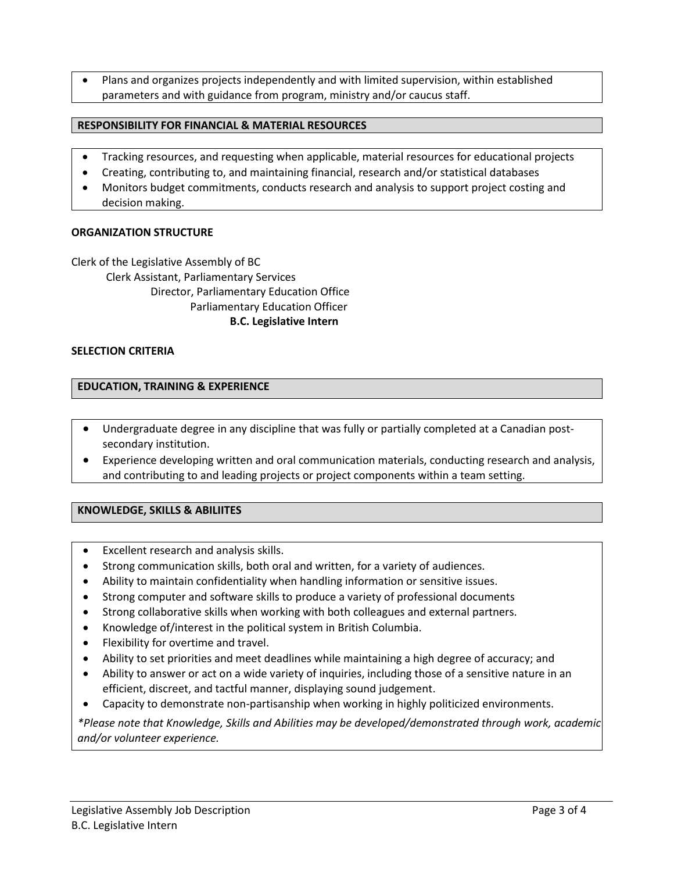• Plans and organizes projects independently and with limited supervision, within established parameters and with guidance from program, ministry and/or caucus staff.

## **RESPONSIBILITY FOR FINANCIAL & MATERIAL RESOURCES**

- Tracking resources, and requesting when applicable, material resources for educational projects
- Creating, contributing to, and maintaining financial, research and/or statistical databases
- Monitors budget commitments, conducts research and analysis to support project costing and decision making.

## **ORGANIZATION STRUCTURE**

Clerk of the Legislative Assembly of BC Clerk Assistant, Parliamentary Services Director, Parliamentary Education Office Parliamentary Education Officer **B.C. Legislative Intern**

## **SELECTION CRITERIA**

## **EDUCATION, TRAINING & EXPERIENCE**

- Undergraduate degree in any discipline that was fully or partially completed at a Canadian postsecondary institution.
- Experience developing written and oral communication materials, conducting research and analysis, and contributing to and leading projects or project components within a team setting.

# **KNOWLEDGE, SKILLS & ABILIITES**

- Excellent research and analysis skills.
- Strong communication skills, both oral and written, for a variety of audiences.
- Ability to maintain confidentiality when handling information or sensitive issues.
- Strong computer and software skills to produce a variety of professional documents
- Strong collaborative skills when working with both colleagues and external partners.
- Knowledge of/interest in the political system in British Columbia.
- Flexibility for overtime and travel.
- Ability to set priorities and meet deadlines while maintaining a high degree of accuracy; and
- Ability to answer or act on a wide variety of inquiries, including those of a sensitive nature in an efficient, discreet, and tactful manner, displaying sound judgement.
- Capacity to demonstrate non-partisanship when working in highly politicized environments.

*\*Please note that Knowledge, Skills and Abilities may be developed/demonstrated through work, academic and/or volunteer experience.*